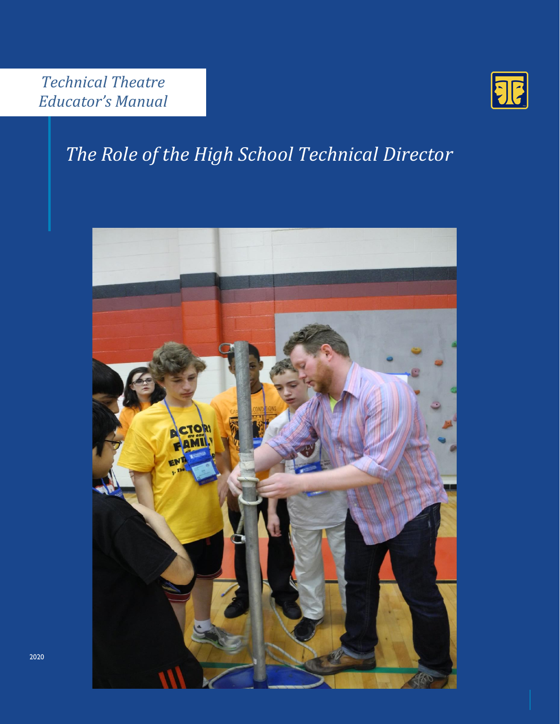

# *The Role of the High School Technical Director*

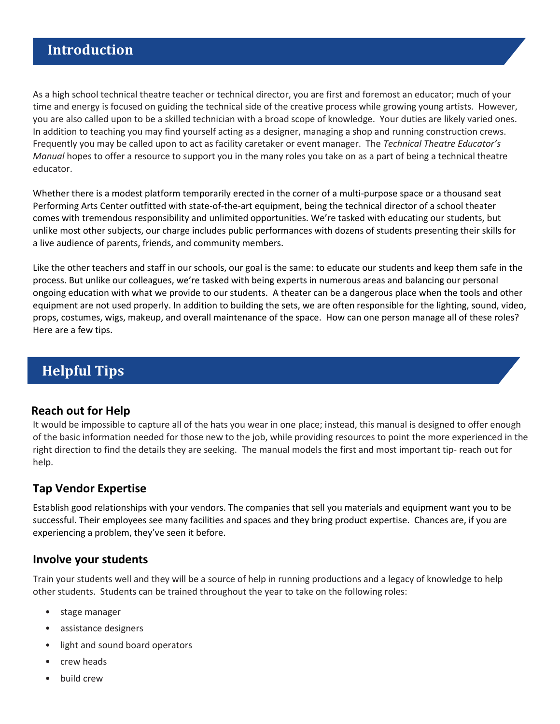As a high school technical theatre teacher or technical director, you are first and foremost an educator; much of your time and energy is focused on guiding the technical side of the creative process while growing young artists. However, you are also called upon to be a skilled technician with a broad scope of knowledge. Your duties are likely varied ones. In addition to teaching you may find yourself acting as a designer, managing a shop and running construction crews. Frequently you may be called upon to act as facility caretaker or event manager. The *Technical Theatre Educator's Manual* hopes to offer a resource to support you in the many roles you take on as a part of being a technical theatre educator.

Whether there is a modest platform temporarily erected in the corner of a multi-purpose space or a thousand seat Performing Arts Center outfitted with state-of-the-art equipment, being the technical director of a school theater comes with tremendous responsibility and unlimited opportunities. We're tasked with educating our students, but unlike most other subjects, our charge includes public performances with dozens of students presenting their skills for a live audience of parents, friends, and community members.

Like the other teachers and staff in our schools, our goal is the same: to educate our students and keep them safe in the process. But unlike our colleagues, we're tasked with being experts in numerous areas and balancing our personal ongoing education with what we provide to our students. A theater can be a dangerous place when the tools and other equipment are not used properly. In addition to building the sets, we are often responsible for the lighting, sound, video, props, costumes, wigs, makeup, and overall maintenance of the space. How can one person manage all of these roles? Here are a few tips.

## **Helpful Tips**

#### **Reach out for Help**

It would be impossible to capture all of the hats you wear in one place; instead, this manual is designed to offer enough of the basic information needed for those new to the job, while providing resources to point the more experienced in the right direction to find the details they are seeking. The manual models the first and most important tip- reach out for help.

#### **Tap Vendor Expertise**

Establish good relationships with your vendors. The companies that sell you materials and equipment want you to be successful. Their employees see many facilities and spaces and they bring product expertise. Chances are, if you are experiencing a problem, they've seen it before.

#### **Involve your students**

Train your students well and they will be a source of help in running productions and a legacy of knowledge to help other students. Students can be trained throughout the year to take on the following roles:

- stage manager
- assistance designers
- light and sound board operators
- crew heads
- build crew